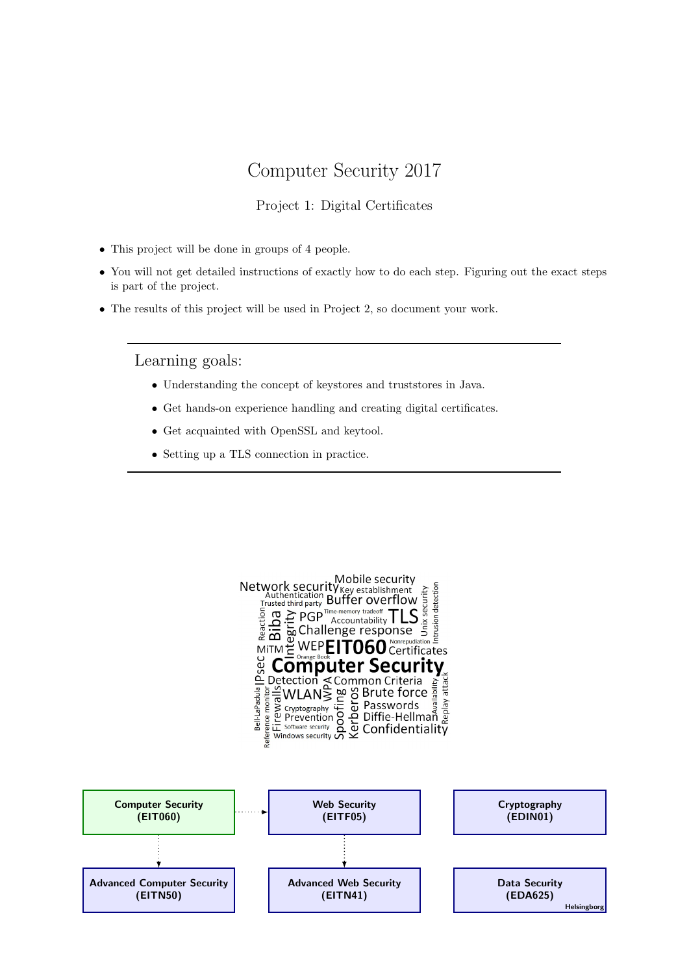## Computer Security 2017

### Project 1: Digital Certificates

- This project will be done in groups of 4 people.
- You will not get detailed instructions of exactly how to do each step. Figuring out the exact steps is part of the project.
- The results of this project will be used in Project 2, so document your work.

Learning goals:

- Understanding the concept of keystores and truststores in Java.
- Get hands-on experience handling and creating digital certificates.
- Get acquainted with OpenSSL and keytool.
- Setting up a TLS connection in practice.

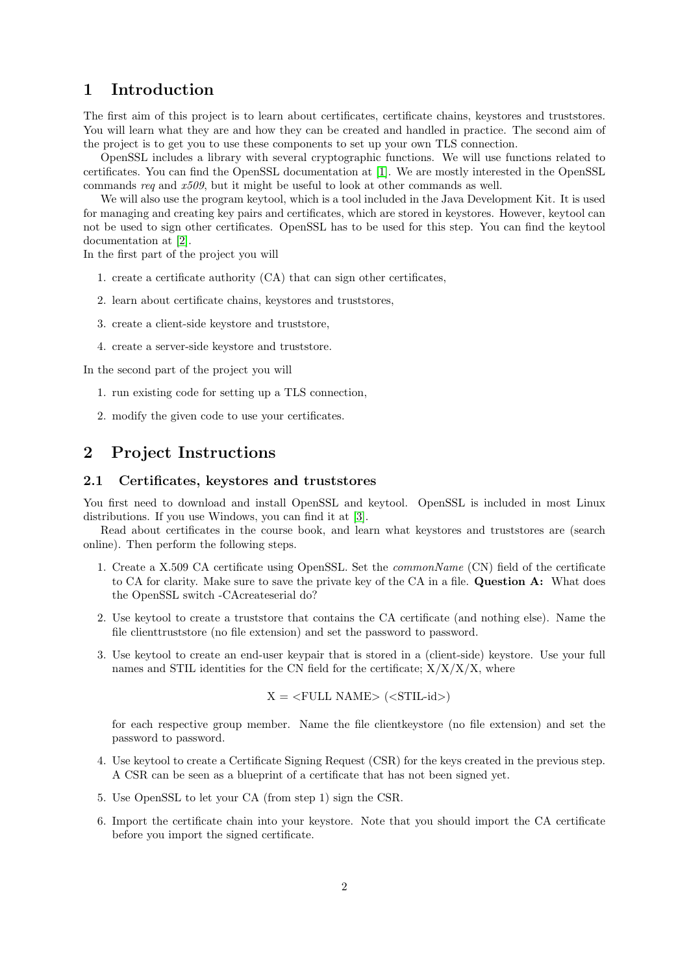## 1 Introduction

The first aim of this project is to learn about certificates, certificate chains, keystores and truststores. You will learn what they are and how they can be created and handled in practice. The second aim of the project is to get you to use these components to set up your own TLS connection.

OpenSSL includes a library with several cryptographic functions. We will use functions related to certificates. You can find the OpenSSL documentation at [\[1\]](#page-3-0). We are mostly interested in the OpenSSL commands req and x509, but it might be useful to look at other commands as well.

We will also use the program keytool, which is a tool included in the Java Development Kit. It is used for managing and creating key pairs and certificates, which are stored in keystores. However, keytool can not be used to sign other certificates. OpenSSL has to be used for this step. You can find the keytool documentation at [\[2\]](#page-3-1).

In the first part of the project you will

- 1. create a certificate authority (CA) that can sign other certificates,
- 2. learn about certificate chains, keystores and truststores,
- 3. create a client-side keystore and truststore,
- 4. create a server-side keystore and truststore.

In the second part of the project you will

- 1. run existing code for setting up a TLS connection,
- 2. modify the given code to use your certificates.

## 2 Project Instructions

#### 2.1 Certificates, keystores and truststores

You first need to download and install OpenSSL and keytool. OpenSSL is included in most Linux distributions. If you use Windows, you can find it at [\[3\]](#page-3-2).

Read about certificates in the course book, and learn what keystores and truststores are (search online). Then perform the following steps.

- 1. Create a X.509 CA certificate using OpenSSL. Set the commonName (CN) field of the certificate to CA for clarity. Make sure to save the private key of the CA in a file. Question A: What does the OpenSSL switch -CAcreateserial do?
- 2. Use keytool to create a truststore that contains the CA certificate (and nothing else). Name the file clienttruststore (no file extension) and set the password to password.
- 3. Use keytool to create an end-user keypair that is stored in a (client-side) keystore. Use your full names and STIL identities for the CN field for the certificate;  $X/X/X$ , where

$$
X = \langle \text{FULL NAME} \rangle \langle \langle \text{STIL-id} \rangle)
$$

for each respective group member. Name the file clientkeystore (no file extension) and set the password to password.

- 4. Use keytool to create a Certificate Signing Request (CSR) for the keys created in the previous step. A CSR can be seen as a blueprint of a certificate that has not been signed yet.
- 5. Use OpenSSL to let your CA (from step 1) sign the CSR.
- 6. Import the certificate chain into your keystore. Note that you should import the CA certificate before you import the signed certificate.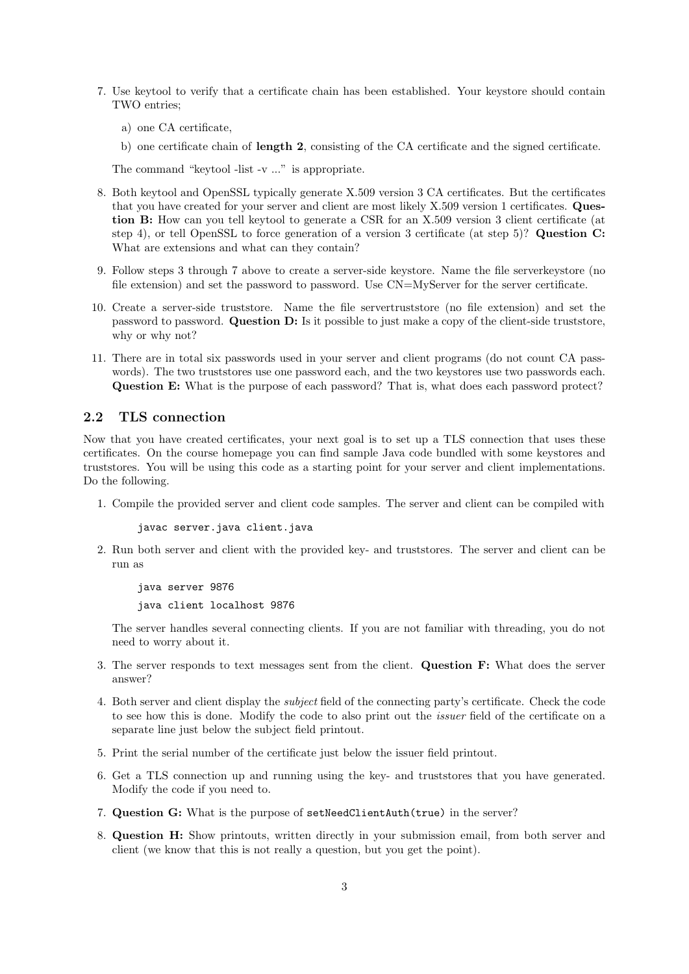- 7. Use keytool to verify that a certificate chain has been established. Your keystore should contain TWO entries;
	- a) one CA certificate,
	- b) one certificate chain of length 2, consisting of the CA certificate and the signed certificate.

The command "keytool -list -v ..." is appropriate.

- 8. Both keytool and OpenSSL typically generate X.509 version 3 CA certificates. But the certificates that you have created for your server and client are most likely X.509 version 1 certificates. Question B: How can you tell keytool to generate a CSR for an X.509 version 3 client certificate (at step 4), or tell OpenSSL to force generation of a version 3 certificate (at step 5)? Question C: What are extensions and what can they contain?
- 9. Follow steps 3 through 7 above to create a server-side keystore. Name the file serverkeystore (no file extension) and set the password to password. Use CN=MyServer for the server certificate.
- 10. Create a server-side truststore. Name the file servertruststore (no file extension) and set the password to password. Question D: Is it possible to just make a copy of the client-side truststore, why or why not?
- 11. There are in total six passwords used in your server and client programs (do not count CA passwords). The two truststores use one password each, and the two keystores use two passwords each. Question E: What is the purpose of each password? That is, what does each password protect?

#### 2.2 TLS connection

Now that you have created certificates, your next goal is to set up a TLS connection that uses these certificates. On the course homepage you can find sample Java code bundled with some keystores and truststores. You will be using this code as a starting point for your server and client implementations. Do the following.

1. Compile the provided server and client code samples. The server and client can be compiled with

javac server.java client.java

2. Run both server and client with the provided key- and truststores. The server and client can be run as

java server 9876 java client localhost 9876

The server handles several connecting clients. If you are not familiar with threading, you do not need to worry about it.

- 3. The server responds to text messages sent from the client. Question F: What does the server answer?
- 4. Both server and client display the subject field of the connecting party's certificate. Check the code to see how this is done. Modify the code to also print out the issuer field of the certificate on a separate line just below the subject field printout.
- 5. Print the serial number of the certificate just below the issuer field printout.
- 6. Get a TLS connection up and running using the key- and truststores that you have generated. Modify the code if you need to.
- 7. Question G: What is the purpose of setNeedClientAuth(true) in the server?
- 8. Question H: Show printouts, written directly in your submission email, from both server and client (we know that this is not really a question, but you get the point).